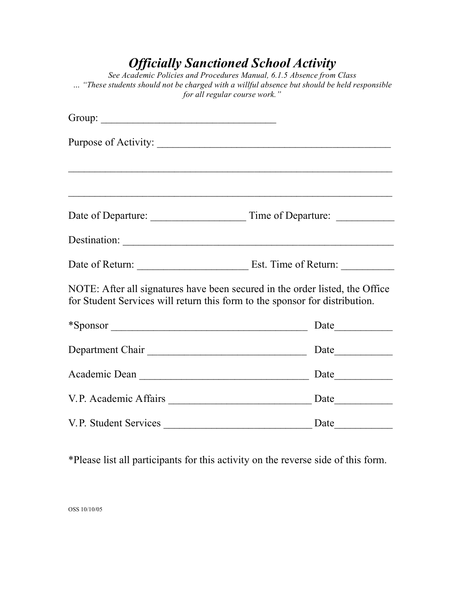## *Officially Sanctioned School Activity*

*See Academic Policies and Procedures Manual, 6.1.5 Absence from Class … "These students should not be charged with a willful absence but should be held responsible for all regular course work."*

| Group: $\sqrt{\frac{2}{\pi}}$                                               |                                                                              |
|-----------------------------------------------------------------------------|------------------------------------------------------------------------------|
|                                                                             |                                                                              |
|                                                                             |                                                                              |
|                                                                             |                                                                              |
|                                                                             |                                                                              |
|                                                                             | Destination:                                                                 |
|                                                                             |                                                                              |
| for Student Services will return this form to the sponsor for distribution. | NOTE: After all signatures have been secured in the order listed, the Office |
|                                                                             | *Sponsor Date                                                                |
|                                                                             |                                                                              |
|                                                                             |                                                                              |
|                                                                             |                                                                              |
|                                                                             |                                                                              |

\*Please list all participants for this activity on the reverse side of this form.

OSS 10/10/05